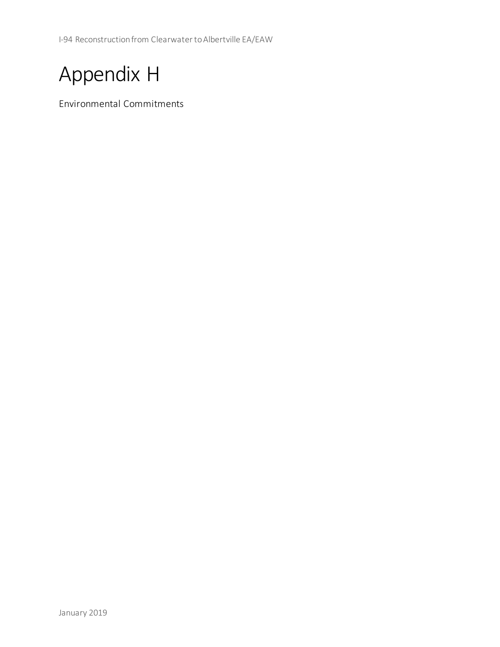I-94 Reconstruction from Clearwater to Albertville EA/EAW



Environmental Commitments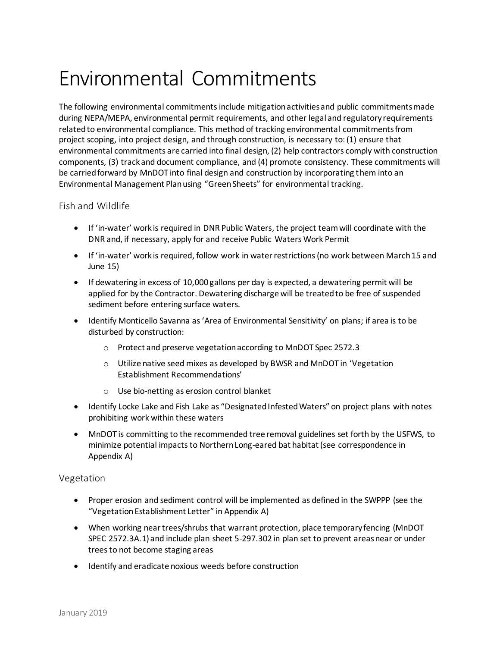# Environmental Commitments

The following environmental commitments include mitigation activities and public commitments made during NEPA/MEPA, environmental permit requirements, and other legal and regulatory requirements related to environmental compliance. This method of tracking environmental commitments from project scoping, into project design, and through construction, is necessary to: (1) ensure that environmental commitments are carried into final design, (2) help contractors comply with construction components, (3) track and document compliance, and (4) promote consistency. These commitments will be carried forward by MnDOT into final design and construction by incorporating them into an Environmental Management Plan using "Green Sheets" for environmental tracking.

# Fish and Wildlife

- • If 'in-water' work is required in DNR Public Waters, the project team will coordinate with the DNR and, if necessary, apply for and receive Public Waters Work Permit
- • If 'in-water' work is required, follow work in water restrictions (no work between March 15 and June 15)
- • If dewatering in excess of 10,000 gallons per day is expected, a dewatering permit will be applied for by the Contractor. Dewatering discharge will be treated to be free of suspended sediment before entering surface waters.
- • Identify Monticello Savanna as'Area of Environmental Sensitivity' on plans; if area is to be disturbed by construction:
	- o Protect and preserve vegetationaccording to MnDOT Spec 2572.3
	- o Utilize native seed mixes as developed by BWSR and MnDOT in 'Vegetation Establishment Recommendations'
	- o Use bio-netting as erosion control blanket
- • Identify Locke Lake and Fish Lake as "Designated Infested Waters" on project plans with notes prohibiting work within these waters
- • MnDOT is committing to the recommended tree removal guidelines set forth by the USFWS, to minimize potential impacts to Northern Long-eared bat habitat (see correspondence in Appendix A)

# Vegetation

- • Proper erosion and sediment control will be implemented as defined in the SWPPP (see the "Vegetation Establishment Letter" in Appendix A)
- • When working near trees/shrubs that warrant protection, place temporary fencing (MnDOT SPEC 2572.3A.1) and include plan sheet 5-297.302 in plan set to prevent areas near or under trees to not become staging areas
- Identify and eradicate noxious weeds before construction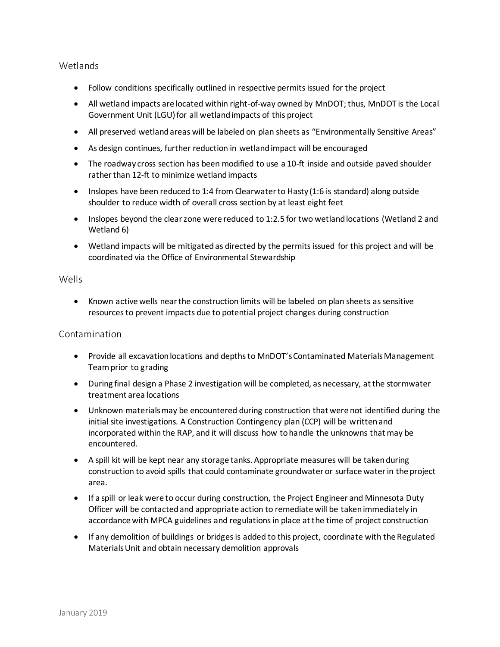## Wetlands

- Follow conditions specifically outlined in respective permits issued for the project
- • All wetland impacts are located within right-of-way owned by MnDOT; thus, MnDOT is the Local Government Unit (LGU) for all wetland impacts of this project
- All preserved wetland areas will be labeled on plan sheets as "Environmentally Sensitive Areas"
- As design continues, further reduction in wetland impact will be encouraged
- • The roadway cross section has been modified to use a 10-ft inside and outside paved shoulder rather than 12-ft to minimize wetland impacts
- • Inslopes have been reduced to 1:4 from Clearwater to Hasty (1:6 is standard) along outside shoulder to reduce width of overall cross section by at least eight feet
- • Inslopes beyond the clear zone were reduced to 1:2.5 for two wetland locations (Wetland 2 and Wetland 6)
- • Wetland impacts will be mitigated as directed by the permits issued for this project and will be coordinated via the Office of Environmental Stewardship

#### Wells

 • Known active wells near the construction limits will be labeled on plan sheets as sensitive resources to prevent impacts due to potential project changes during construction

## Contamination

- • Provide all excavation locations and depths to MnDOT'sContaminated MaterialsManagement Team prior to grading
- • During final design a Phase 2 investigation will be completed, as necessary, at the stormwater treatment area locations
- • Unknown materialsmay be encountered during construction that were not identified during the initial site investigations. A Construction Contingency plan (CCP) will be written and incorporated within the RAP, and it will discuss how to handle the unknowns that may be encountered.
- • A spill kit will be kept near any storage tanks. Appropriate measures will be taken during construction to avoid spills that could contaminate groundwater or surface water in the project area.
- • If a spill or leak were to occur during construction, the Project Engineer and Minnesota Duty Officer will be contacted and appropriate action to remediate will be taken immediately in accordance with MPCA guidelines and regulations in place at the time of project construction
- • If any demolition of buildings or bridges is added to this project, coordinate with the Regulated MaterialsUnit and obtain necessary demolition approvals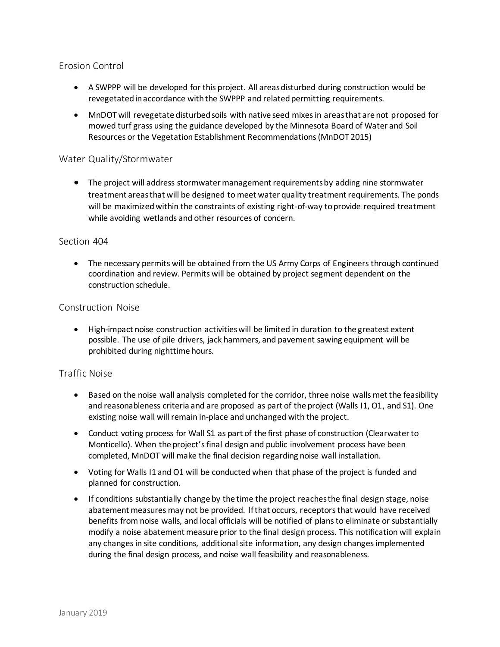# Erosion Control

- • A SWPPP will be developed for this project. All areas disturbed during construction would be revegetated in accordance with the SWPPP and related permitting requirements.
- • MnDOT will revegetate disturbed soils with native seed mixes in areas that are not proposed for mowed turf grass using the guidance developed by the Minnesota Board of Water and Soil Resources or the Vegetation Establishment Recommendations (MnDOT 2015)

#### Water Quality/Stormwater

 • The project will address stormwater management requirements by adding nine stormwater treatment areas that will be designed to meet water quality treatment requirements. The ponds will be maximized within the constraints of existing right-of-way to provide required treatment while avoiding wetlands and other resources of concern.

#### Section 404

 • The necessary permits will be obtained from the US Army Corps of Engineers through continued coordination and review. Permits will be obtained by project segment dependent on the construction schedule.

#### Construction Noise

 • High-impact noise construction activities will be limited in duration to the greatest extent possible. The use of pile drivers, jack hammers, and pavement sawing equipment will be prohibited during nighttime hours.

# Traffic Noise

- • Based on the noise wall analysis completed for the corridor, three noise walls met the feasibility and reasonableness criteria and are proposed as part of the project (Walls I1, O1, and S1). One existing noise wall will remain in-place and unchanged with the project.
- • Conduct voting process for Wall S1 as part of the first phase of construction (Clearwater to Monticello). When the project'sfinal design and public involvement process have been completed, MnDOT will make the final decision regarding noise wall installation.
- • Voting for Walls I1 and O1 will be conducted when that phase of the project is funded and planned for construction.
- • If conditions substantially change by the time the project reaches the final design stage, noise abatement measures may not be provided. If that occurs, receptors that would have received benefits from noise walls, and local officials will be notified of plans to eliminate or substantially modify a noise abatement measure prior to the final design process. This notification will explain any changes in site conditions, additional site information, any design changes implemented during the final design process, and noise wall feasibility and reasonableness.